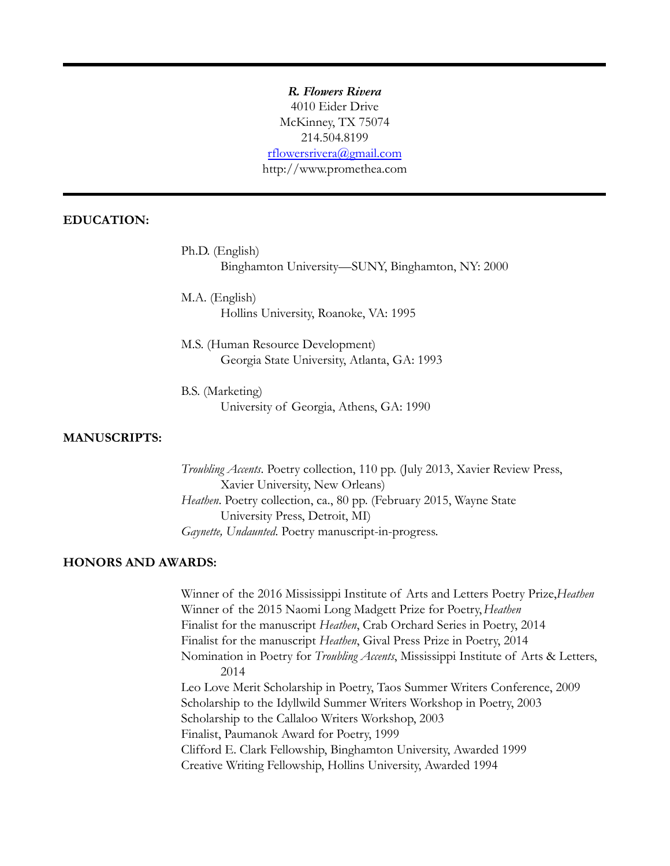*R. Flowers Rivera* 4010 Eider Drive McKinney, TX 75074 214.504.8199 [rflowersrivera@gmail.com](mailto:raquel@promethea.com) http://www.promethea.com

# **EDUCATION:**

Ph.D. (English) Binghamton University—SUNY, Binghamton, NY: 2000

M.A. (English) Hollins University, Roanoke, VA: 1995

M.S. (Human Resource Development) Georgia State University, Atlanta, GA: 1993

B.S. (Marketing) University of Georgia, Athens, GA: 1990

#### **MANUSCRIPTS:**

*Troubling Accents*. Poetry collection, 110 pp. (July 2013, Xavier Review Press, Xavier University, New Orleans) *Heathen*. Poetry collection, ca., 80 pp. (February 2015, Wayne State University Press, Detroit, MI) *Gaynette, Undaunted*. Poetry manuscript-in-progress.

## **HONORS AND AWARDS:**

Winner of the 2016 Mississippi Institute of Arts and Letters Poetry Prize,*Heathen* Winner of the 2015 Naomi Long Madgett Prize for Poetry,*Heathen* Finalist for the manuscript *Heathen*, Crab Orchard Series in Poetry, 2014 Finalist for the manuscript *Heathen*, Gival Press Prize in Poetry, 2014 Nomination in Poetry for *Troubling Accents*, Mississippi Institute of Arts & Letters, 2014 Leo Love Merit Scholarship in Poetry, Taos Summer Writers Conference, 2009 Scholarship to the Idyllwild Summer Writers Workshop in Poetry, 2003 Scholarship to the Callaloo Writers Workshop, 2003 Finalist, Paumanok Award for Poetry, 1999 Clifford E. Clark Fellowship, Binghamton University, Awarded 1999 Creative Writing Fellowship, Hollins University, Awarded 1994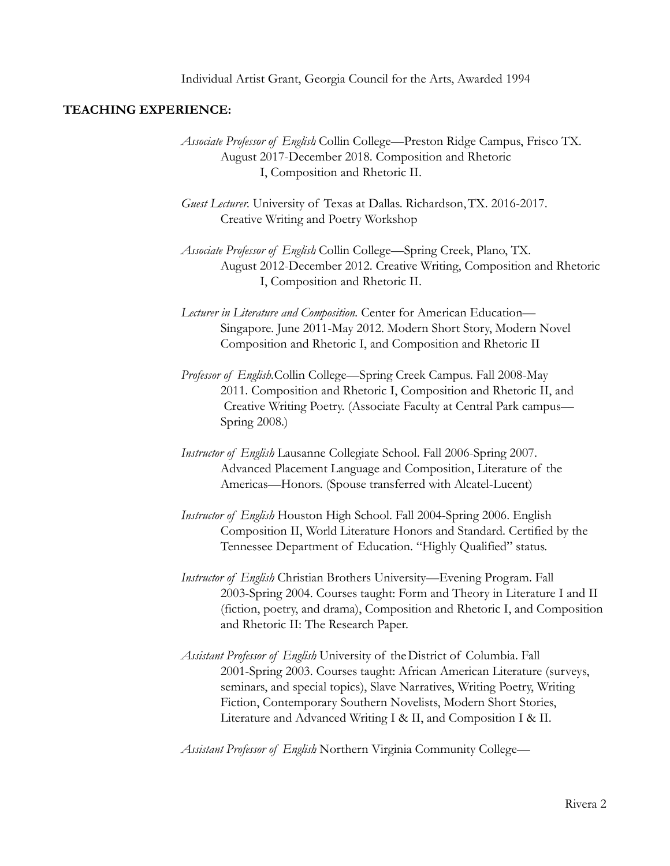## **TEACHING EXPERIENCE:**

- *Associate Professor of English*. Collin College—Preston Ridge Campus, Frisco TX. August 2017-December 2018. Composition and Rhetoric I, Composition and Rhetoric II.
- *Guest Lecturer.* University of Texas at Dallas. Richardson,TX. 2016-2017. Creative Writing and Poetry Workshop
- *Associate Professor of English*. Collin College—Spring Creek, Plano, TX. August 2012-December 2012. Creative Writing, Composition and Rhetoric I, Composition and Rhetoric II.
- *Lecturer in Literature and Composition.* Center for American Education— Singapore. June 2011-May 2012. Modern Short Story, Modern Novel Composition and Rhetoric I, and Composition and Rhetoric II
- *Professor of English.*Collin College—Spring Creek Campus. Fall 2008-May 2011. Composition and Rhetoric I, Composition and Rhetoric II, and Creative Writing Poetry. (Associate Faculty at Central Park campus— Spring 2008.)
- *Instructor of English*. Lausanne Collegiate School. Fall 2006-Spring 2007. Advanced Placement Language and Composition, Literature of the Americas—Honors. (Spouse transferred with Alcatel-Lucent)
- *Instructor of English*. Houston High School. Fall 2004-Spring 2006. English Composition II, World Literature Honors and Standard. Certified by the Tennessee Department of Education. "Highly Qualified" status.
- *Instructor of English*. Christian Brothers University—Evening Program. Fall 2003-Spring 2004. Courses taught: Form and Theory in Literature I and II (fiction, poetry, and drama), Composition and Rhetoric I, and Composition and Rhetoric II: The Research Paper.
- *Assistant Professor of English*. University of theDistrict of Columbia. Fall 2001-Spring 2003. Courses taught: African American Literature (surveys, seminars, and special topics), Slave Narratives, Writing Poetry, Writing Fiction, Contemporary Southern Novelists, Modern Short Stories, Literature and Advanced Writing I & II, and Composition I & II.

*Assistant Professor of English*. Northern Virginia Community College—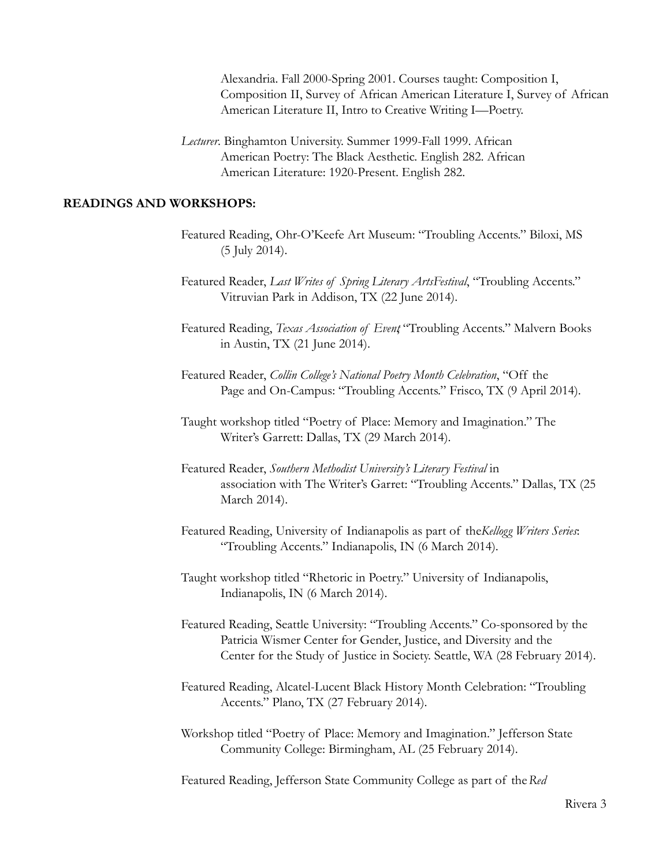Alexandria. Fall 2000-Spring 2001. Courses taught: Composition I, Composition II, Survey of African American Literature I, Survey of African American Literature II, Intro to Creative Writing I—Poetry.

*Lecturer*. Binghamton University. Summer 1999-Fall 1999. African American Poetry: The Black Aesthetic. English 282. African American Literature: 1920-Present. English 282.

#### **READINGS AND WORKSHOPS:**

- Featured Reading, Ohr-O'Keefe Art Museum: "Troubling Accents." Biloxi, MS (5 July 2014).
- Featured Reader, *Last Writes of Spring Literary ArtsFestival*, "Troubling Accents." Vitruvian Park in Addison, TX (22 June 2014).
- Featured Reading, *Texas Association of Event*, "Troubling Accents." Malvern Books in Austin, TX (21 June 2014).
- Featured Reader, *Collin College's National Poetry Month Celebration*, "Off the Page and On-Campus: "Troubling Accents." Frisco, TX (9 April 2014).
- Taught workshop titled "Poetry of Place: Memory and Imagination." The Writer's Garrett: Dallas, TX (29 March 2014).
- Featured Reader, *Southern Methodist University's Literary Festival* in association with The Writer's Garret: "Troubling Accents." Dallas, TX (25 March 2014).
- Featured Reading, University of Indianapolis as part of the*Kellogg Writers Series*: "Troubling Accents." Indianapolis, IN (6 March 2014).
- Taught workshop titled "Rhetoric in Poetry." University of Indianapolis, Indianapolis, IN (6 March 2014).
- Featured Reading, Seattle University: "Troubling Accents." Co-sponsored by the Patricia Wismer Center for Gender, Justice, and Diversity and the Center for the Study of Justice in Society. Seattle, WA (28 February 2014).
- Featured Reading, Alcatel-Lucent Black History Month Celebration: "Troubling Accents." Plano, TX (27 February 2014).
- Workshop titled "Poetry of Place: Memory and Imagination." Jefferson State Community College: Birmingham, AL (25 February 2014).

Featured Reading, Jefferson State Community College as part of the*Red*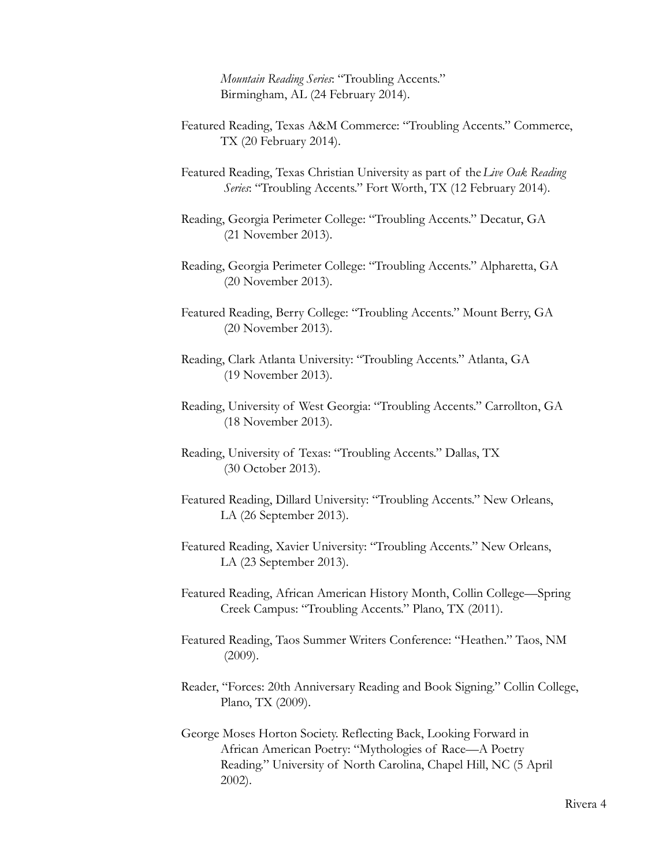*Mountain Reading Series*: "Troubling Accents." Birmingham, AL (24 February 2014).

- Featured Reading, Texas A&M Commerce: "Troubling Accents." Commerce, TX (20 February 2014).
- Featured Reading, Texas Christian University as part of the*Live Oak Reading Series*: "Troubling Accents." Fort Worth, TX (12 February 2014).
- Reading, Georgia Perimeter College: "Troubling Accents." Decatur, GA (21 November 2013).
- Reading, Georgia Perimeter College: "Troubling Accents." Alpharetta, GA (20 November 2013).
- Featured Reading, Berry College: "Troubling Accents." Mount Berry, GA (20 November 2013).
- Reading, Clark Atlanta University: "Troubling Accents." Atlanta, GA (19 November 2013).
- Reading, University of West Georgia: "Troubling Accents." Carrollton, GA (18 November 2013).
- Reading, University of Texas: "Troubling Accents." Dallas, TX (30 October 2013).
- Featured Reading, Dillard University: "Troubling Accents." New Orleans, LA (26 September 2013).
- Featured Reading, Xavier University: "Troubling Accents." New Orleans, LA (23 September 2013).
- Featured Reading, African American History Month, Collin College—Spring Creek Campus: "Troubling Accents." Plano, TX (2011).
- Featured Reading, Taos Summer Writers Conference: "Heathen." Taos, NM (2009).
- Reader, "Forces: 20th Anniversary Reading and Book Signing." Collin College, Plano, TX (2009).
- George Moses Horton Society. Reflecting Back, Looking Forward in African American Poetry: "Mythologies of Race—A Poetry Reading." University of North Carolina, Chapel Hill, NC (5 April 2002).